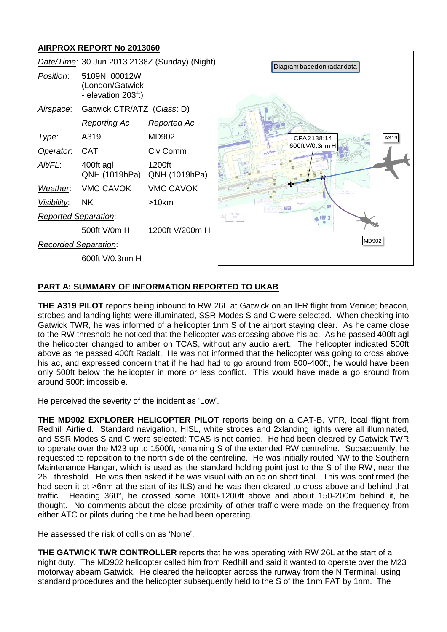# **AIRPROX REPORT No 2013060**



## **PART A: SUMMARY OF INFORMATION REPORTED TO UKAB**

**THE A319 PILOT** reports being inbound to RW 26L at Gatwick on an IFR flight from Venice; beacon, strobes and landing lights were illuminated, SSR Modes S and C were selected. When checking into Gatwick TWR, he was informed of a helicopter 1nm S of the airport staying clear. As he came close to the RW threshold he noticed that the helicopter was crossing above his ac. As he passed 400ft agl the helicopter changed to amber on TCAS, without any audio alert. The helicopter indicated 500ft above as he passed 400ft Radalt. He was not informed that the helicopter was going to cross above his ac, and expressed concern that if he had had to go around from 600-400ft, he would have been only 500ft below the helicopter in more or less conflict. This would have made a go around from around 500ft impossible.

He perceived the severity of the incident as 'Low'.

**THE MD902 EXPLORER HELICOPTER PILOT** reports being on a CAT-B, VFR, local flight from Redhill Airfield. Standard navigation, HISL, white strobes and 2xlanding lights were all illuminated, and SSR Modes S and C were selected; TCAS is not carried. He had been cleared by Gatwick TWR to operate over the M23 up to 1500ft, remaining S of the extended RW centreline. Subsequently, he requested to reposition to the north side of the centreline. He was initially routed NW to the Southern Maintenance Hangar, which is used as the standard holding point just to the S of the RW, near the 26L threshold. He was then asked if he was visual with an ac on short final. This was confirmed (he had seen it at >6nm at the start of its ILS) and he was then cleared to cross above and behind that traffic. Heading 360°, he crossed some 1000-1200ft above and about 150-200m behind it, he thought. No comments about the close proximity of other traffic were made on the frequency from either ATC or pilots during the time he had been operating.

He assessed the risk of collision as 'None'.

**THE GATWICK TWR CONTROLLER** reports that he was operating with RW 26L at the start of a night duty. The MD902 helicopter called him from Redhill and said it wanted to operate over the M23 motorway abeam Gatwick. He cleared the helicopter across the runway from the N Terminal, using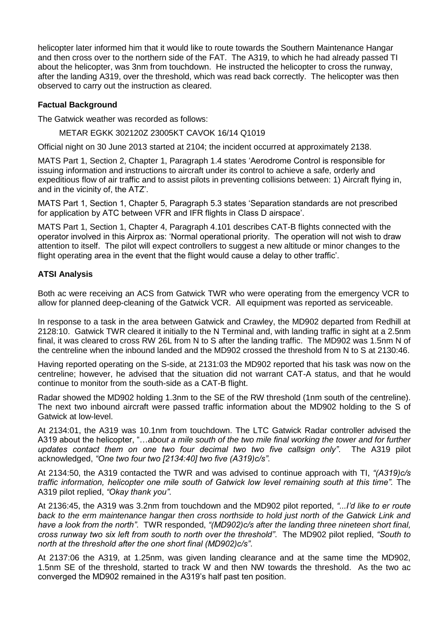helicopter later informed him that it would like to route towards the Southern Maintenance Hangar and then cross over to the northern side of the FAT. The A319, to which he had already passed TI about the helicopter, was 3nm from touchdown. He instructed the helicopter to cross the runway, after the landing A319, over the threshold, which was read back correctly. The helicopter was then observed to carry out the instruction as cleared.

## **Factual Background**

The Gatwick weather was recorded as follows:

METAR EGKK 302120Z 23005KT CAVOK 16/14 Q1019

Official night on 30 June 2013 started at 2104; the incident occurred at approximately 2138.

MATS Part 1, Section 2, Chapter 1, Paragraph 1.4 states 'Aerodrome Control is responsible for issuing information and instructions to aircraft under its control to achieve a safe, orderly and expeditious flow of air traffic and to assist pilots in preventing collisions between: 1) Aircraft flying in, and in the vicinity of, the ATZ'.

MATS Part 1, Section 1, Chapter 5, Paragraph 5.3 states 'Separation standards are not prescribed for application by ATC between VFR and IFR flights in Class D airspace'.

MATS Part 1, Section 1, Chapter 4, Paragraph 4.101 describes CAT-B flights connected with the operator involved in this Airprox as: 'Normal operational priority. The operation will not wish to draw attention to itself. The pilot will expect controllers to suggest a new altitude or minor changes to the flight operating area in the event that the flight would cause a delay to other traffic'.

## **ATSI Analysis**

Both ac were receiving an ACS from Gatwick TWR who were operating from the emergency VCR to allow for planned deep-cleaning of the Gatwick VCR. All equipment was reported as serviceable.

In response to a task in the area between Gatwick and Crawley, the MD902 departed from Redhill at 2128:10. Gatwick TWR cleared it initially to the N Terminal and, with landing traffic in sight at a 2.5nm final, it was cleared to cross RW 26L from N to S after the landing traffic. The MD902 was 1.5nm N of the centreline when the inbound landed and the MD902 crossed the threshold from N to S at 2130:46.

Having reported operating on the S-side, at 2131:03 the MD902 reported that his task was now on the centreline; however, he advised that the situation did not warrant CAT-A status, and that he would continue to monitor from the south-side as a CAT-B flight.

Radar showed the MD902 holding 1.3nm to the SE of the RW threshold (1nm south of the centreline). The next two inbound aircraft were passed traffic information about the MD902 holding to the S of Gatwick at low-level.

At 2134:01, the A319 was 10.1nm from touchdown. The LTC Gatwick Radar controller advised the A319 about the helicopter, "…*about a mile south of the two mile final working the tower and for further updates contact them on one two four decimal two two five callsign only"*. The A319 pilot acknowledged, *"One two four two [2134:40] two five (A319)c/s"*.

At 2134:50, the A319 contacted the TWR and was advised to continue approach with TI, *"(A319)c/s traffic information, helicopter one mile south of Gatwick low level remaining south at this time".* The A319 pilot replied, *"Okay thank you"*.

At 2136:45, the A319 was 3.2nm from touchdown and the MD902 pilot reported, *"...I'd like to er route back to the erm maintenance hangar then cross northside to hold just north of the Gatwick Link and have a look from the north"*. TWR responded, *"(MD902)c/s after the landing three nineteen short final, cross runway two six left from south to north over the threshold"*. The MD902 pilot replied, *"South to north at the threshold after the one short final (MD902)c/s"*.

At 2137:06 the A319, at 1.25nm, was given landing clearance and at the same time the MD902, 1.5nm SE of the threshold, started to track W and then NW towards the threshold. As the two ac converged the MD902 remained in the A319's half past ten position.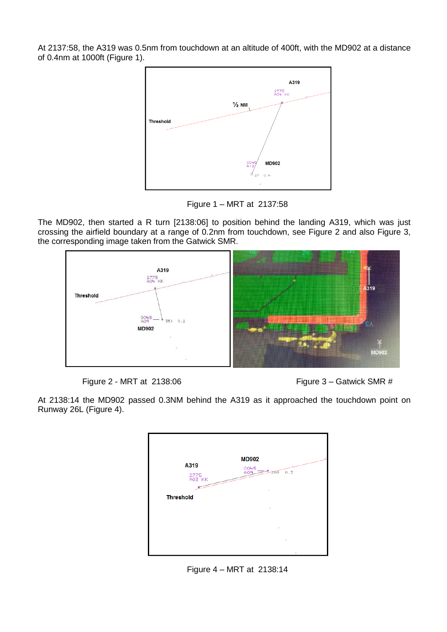At 2137:58, the A319 was 0.5nm from touchdown at an altitude of 400ft, with the MD902 at a distance of 0.4nm at 1000ft (Figure 1).



Figure 1 – MRT at 2137:58

The MD902, then started a R turn [2138:06] to position behind the landing A319, which was just crossing the airfield boundary at a range of 0.2nm from touchdown, see Figure 2 and also Figure 3, the corresponding image taken from the Gatwick SMR.



Figure 2 - MRT at 2138:06 Figure 3 – Gatwick SMR #

At 2138:14 the MD902 passed 0.3NM behind the A319 as it approached the touchdown point on Runway 26L (Figure 4).



Figure 4 – MRT at 2138:14